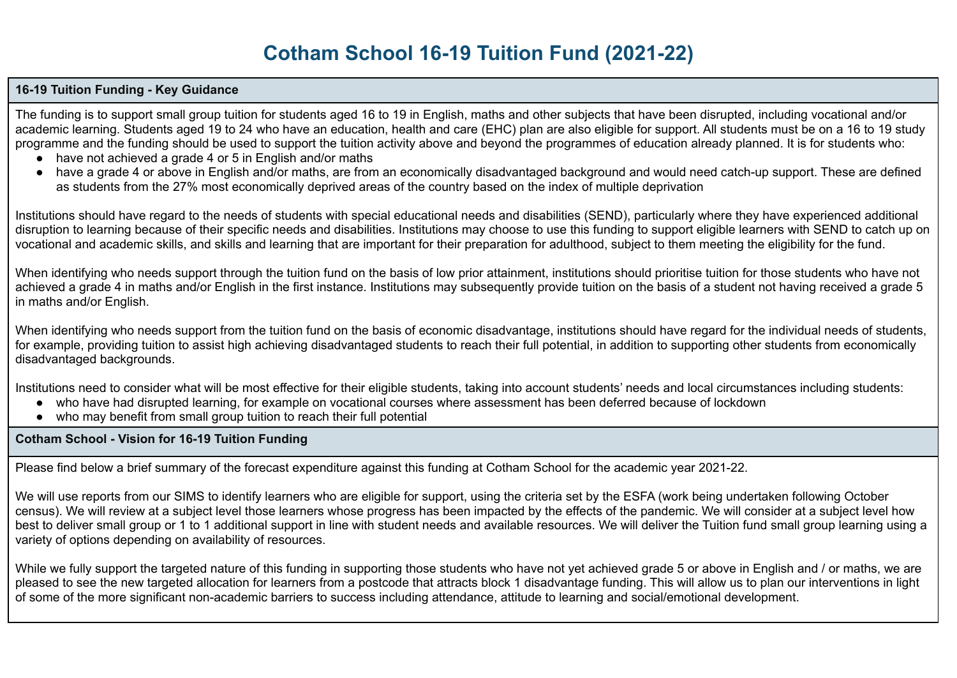# **Cotham School 16-19 Tuition Fund (2021-22)**

## **16-19 Tuition Funding - Key Guidance**

The funding is to support small group tuition for students aged 16 to 19 in English, maths and other subjects that have been disrupted, including vocational and/or academic learning. Students aged 19 to 24 who have an education, health and care (EHC) plan are also eligible for support. All students must be on a 16 to 19 study programme and the funding should be used to support the tuition activity above and beyond the programmes of education already planned. It is for students who:

- have not achieved a grade 4 or 5 in English and/or maths
- have a grade 4 or above in English and/or maths, are from an economically disadvantaged background and would need catch-up support. These are defined as students from the 27% most economically deprived areas of the country based on the index of multiple deprivation

Institutions should have regard to the needs of students with special educational needs and disabilities (SEND), particularly where they have experienced additional disruption to learning because of their specific needs and disabilities. Institutions may choose to use this funding to support eligible learners with SEND to catch up on vocational and academic skills, and skills and learning that are important for their preparation for adulthood, subject to them meeting the eligibility for the fund.

When identifying who needs support through the tuition fund on the basis of low prior attainment, institutions should prioritise tuition for those students who have not achieved a grade 4 in maths and/or English in the first instance. Institutions may subsequently provide tuition on the basis of a student not having received a grade 5 in maths and/or English.

When identifying who needs support from the tuition fund on the basis of economic disadvantage, institutions should have regard for the individual needs of students, for example, providing tuition to assist high achieving disadvantaged students to reach their full potential, in addition to supporting other students from economically disadvantaged backgrounds.

Institutions need to consider what will be most effective for their eligible students, taking into account students' needs and local circumstances including students:

- who have had disrupted learning, for example on vocational courses where assessment has been deferred because of lockdown
- who may benefit from small group tuition to reach their full potential

**Cotham School - Vision for 16-19 Tuition Funding**

Please find below a brief summary of the forecast expenditure against this funding at Cotham School for the academic year 2021-22.

We will use reports from our SIMS to identify learners who are eligible for support, using the criteria set by the ESFA (work being undertaken following October census). We will review at a subject level those learners whose progress has been impacted by the effects of the pandemic. We will consider at a subject level how best to deliver small group or 1 to 1 additional support in line with student needs and available resources. We will deliver the Tuition fund small group learning using a variety of options depending on availability of resources.

While we fully support the targeted nature of this funding in supporting those students who have not yet achieved grade 5 or above in English and / or maths, we are pleased to see the new targeted allocation for learners from a postcode that attracts block 1 disadvantage funding. This will allow us to plan our interventions in light of some of the more significant non-academic barriers to success including attendance, attitude to learning and social/emotional development.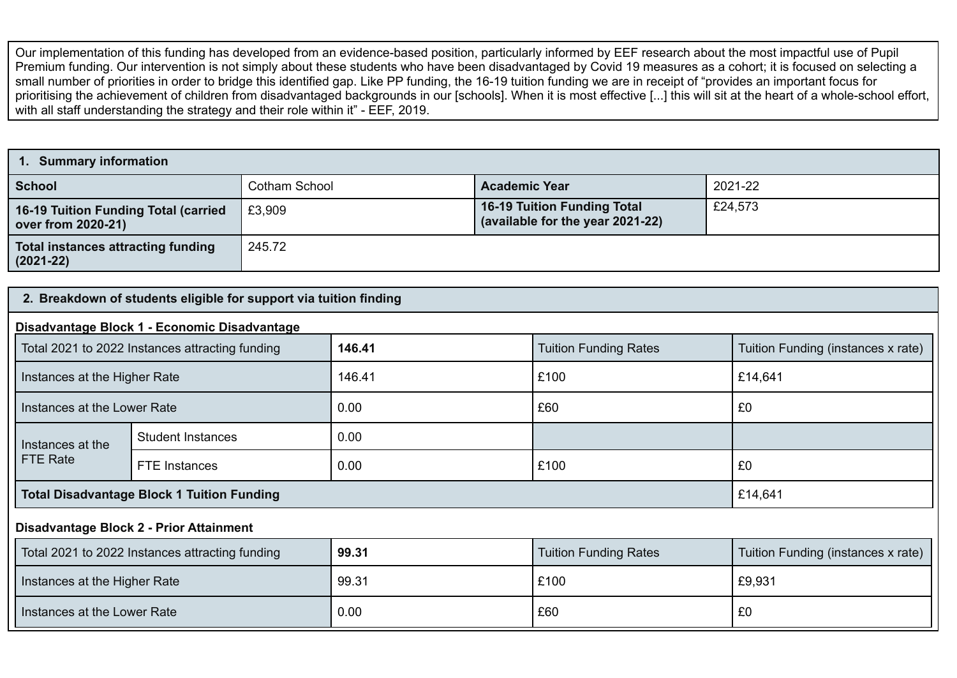Our implementation of this funding has developed from an evidence-based position, particularly informed by EEF research about the most impactful use of Pupil Premium funding. Our intervention is not simply about these students who have been disadvantaged by Covid 19 measures as a cohort; it is focused on selecting a small number of priorities in order to bridge this identified gap. Like PP funding, the 16-19 tuition funding we are in receipt of "provides an important focus for prioritising the achievement of children from disadvantaged backgrounds in our [schools]. When it is most effective [...] this will sit at the heart of a whole-school effort, with all staff understanding the strategy and their role within it" - EEF, 2019.

| <b>Summary information</b>                                        |               |                                                                        |         |  |  |
|-------------------------------------------------------------------|---------------|------------------------------------------------------------------------|---------|--|--|
| <b>School</b>                                                     | Cotham School | <b>Academic Year</b>                                                   | 2021-22 |  |  |
| <b>16-19 Tuition Funding Total (carried</b><br>over from 2020-21) | £3,909        | <b>16-19 Tuition Funding Total</b><br>(available for the year 2021-22) | £24,573 |  |  |
| <b>Total instances attracting funding</b><br>$(2021 - 22)$        | 245.72        |                                                                        |         |  |  |

## **2. Breakdown of students eligible for support via tuition finding**

#### **Disadvantage Block 1 - Economic Disadvantage**

| Total 2021 to 2022 Instances attracting funding   |                          | 146.41 | <b>Tuition Funding Rates</b> | Tuition Funding (instances x rate) |
|---------------------------------------------------|--------------------------|--------|------------------------------|------------------------------------|
| Instances at the Higher Rate                      |                          | 146.41 | £100                         | £14,641                            |
| Instances at the Lower Rate                       |                          | 0.00   | £60                          | £0                                 |
| Instances at the                                  | <b>Student Instances</b> | 0.00   |                              |                                    |
| FTE Rate                                          | FTE Instances            | 0.00   | £100                         | £0                                 |
| <b>Total Disadvantage Block 1 Tuition Funding</b> |                          |        | £14,641                      |                                    |

### **Disadvantage Block 2 - Prior Attainment**

| Total 2021 to 2022 Instances attracting funding | 99.31 | <b>Tuition Funding Rates</b> | Tuition Funding (instances x rate) |
|-------------------------------------------------|-------|------------------------------|------------------------------------|
| Instances at the Higher Rate                    | 99.31 | £100                         | £9,931                             |
| Instances at the Lower Rate                     | 0.00  | £60                          | £0                                 |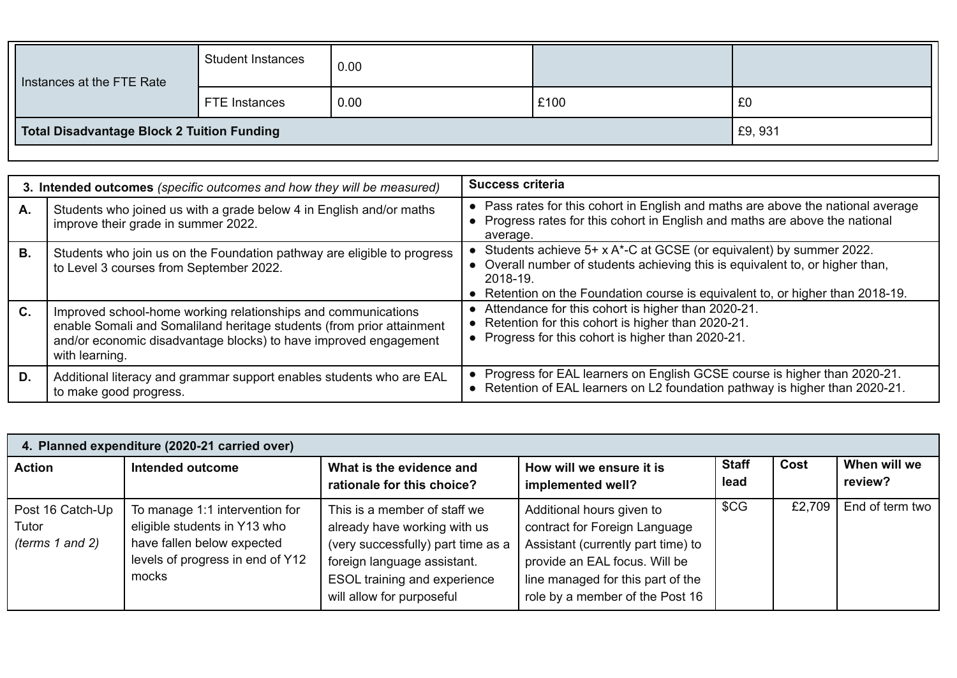| Instances at the FTE Rate                  | <b>Student Instances</b> | 0.00 |      |        |
|--------------------------------------------|--------------------------|------|------|--------|
|                                            | FTE Instances            | 0.00 | £100 | £0     |
| Total Disadvantage Block 2 Tuition Funding |                          |      |      | £9,931 |

|           | 3. Intended outcomes (specific outcomes and how they will be measured)                                                                                                                                                       | <b>Success criteria</b>                                                                                                                                                                                                                          |
|-----------|------------------------------------------------------------------------------------------------------------------------------------------------------------------------------------------------------------------------------|--------------------------------------------------------------------------------------------------------------------------------------------------------------------------------------------------------------------------------------------------|
| А.        | Students who joined us with a grade below 4 in English and/or maths<br>improve their grade in summer 2022.                                                                                                                   | Pass rates for this cohort in English and maths are above the national average<br>$\bullet$<br>Progress rates for this cohort in English and maths are above the national<br>average.                                                            |
| <b>B.</b> | Students who join us on the Foundation pathway are eligible to progress<br>to Level 3 courses from September 2022.                                                                                                           | Students achieve 5+ x A*-C at GCSE (or equivalent) by summer 2022.<br>• Overall number of students achieving this is equivalent to, or higher than,<br>2018-19<br>• Retention on the Foundation course is equivalent to, or higher than 2018-19. |
| C.        | Improved school-home working relationships and communications<br>enable Somali and Somaliland heritage students (from prior attainment<br>and/or economic disadvantage blocks) to have improved engagement<br>with learning. | Attendance for this cohort is higher than 2020-21.<br>Retention for this cohort is higher than 2020-21.<br>Progress for this cohort is higher than 2020-21.                                                                                      |
| D.        | Additional literacy and grammar support enables students who are EAL<br>to make good progress.                                                                                                                               | Progress for EAL learners on English GCSE course is higher than 2020-21.<br>Retention of EAL learners on L2 foundation pathway is higher than 2020-21.                                                                                           |

| 4. Planned expenditure (2020-21 carried over)     |                                                                                                                                           |                                                                                                                                                                                                        |                                                                                                                                                                                                           |                      |        |                         |  |
|---------------------------------------------------|-------------------------------------------------------------------------------------------------------------------------------------------|--------------------------------------------------------------------------------------------------------------------------------------------------------------------------------------------------------|-----------------------------------------------------------------------------------------------------------------------------------------------------------------------------------------------------------|----------------------|--------|-------------------------|--|
| <b>Action</b>                                     | Intended outcome                                                                                                                          | What is the evidence and<br>rationale for this choice?                                                                                                                                                 | How will we ensure it is<br>implemented well?                                                                                                                                                             | <b>Staff</b><br>lead | Cost   | When will we<br>review? |  |
| Post 16 Catch-Up<br>Tutor<br>(terms $1$ and $2$ ) | To manage 1:1 intervention for<br>eligible students in Y13 who<br>have fallen below expected<br>levels of progress in end of Y12<br>mocks | This is a member of staff we.<br>already have working with us<br>(very successfully) part time as a<br>foreign language assistant.<br><b>ESOL training and experience</b><br>will allow for purposeful | Additional hours given to<br>contract for Foreign Language<br>Assistant (currently part time) to<br>provide an EAL focus. Will be<br>line managed for this part of the<br>role by a member of the Post 16 | \$CG                 | £2,709 | End of term two         |  |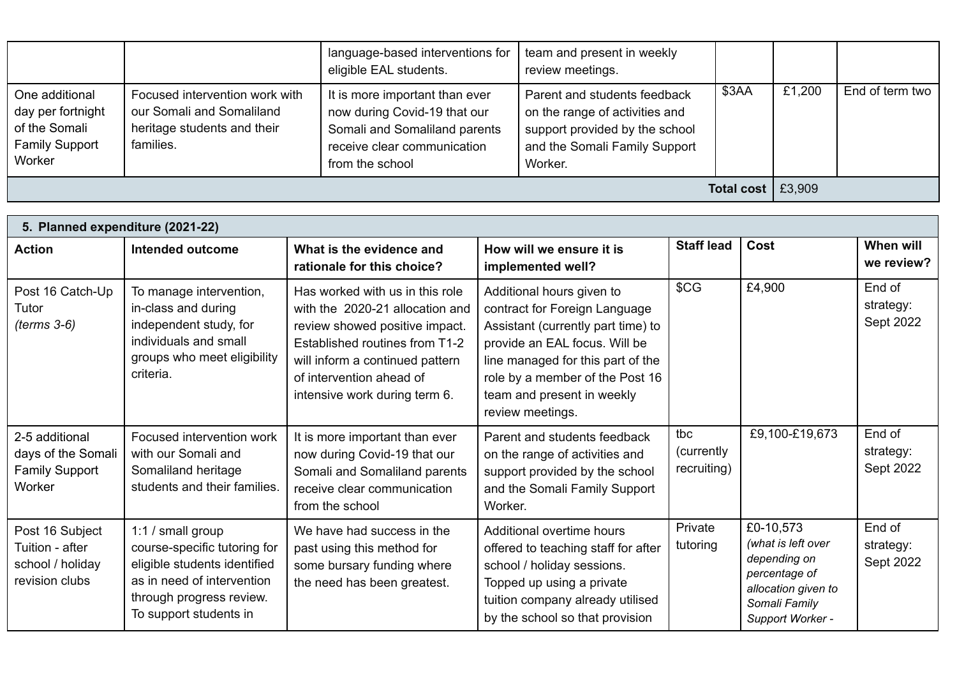|                                                                                         |                                                                                                         | language-based interventions for<br>eligible EAL students.                                                                                        | team and present in weekly<br>review meetings.                                                                                               |                   |        |                 |
|-----------------------------------------------------------------------------------------|---------------------------------------------------------------------------------------------------------|---------------------------------------------------------------------------------------------------------------------------------------------------|----------------------------------------------------------------------------------------------------------------------------------------------|-------------------|--------|-----------------|
| One additional<br>day per fortnight<br>of the Somali<br><b>Family Support</b><br>Worker | Focused intervention work with<br>our Somali and Somaliland<br>heritage students and their<br>families. | It is more important than ever<br>now during Covid-19 that our<br>Somali and Somaliland parents<br>receive clear communication<br>from the school | Parent and students feedback<br>on the range of activities and<br>support provided by the school<br>and the Somali Family Support<br>Worker. | \$3AA             | £1,200 | End of term two |
|                                                                                         |                                                                                                         |                                                                                                                                                   |                                                                                                                                              | <b>Total cost</b> | £3,909 |                 |

| 5. Planned expenditure (2021-22)                                         |                                                                                                                                                                       |                                                                                                                                                                                                                                        |                                                                                                                                                                                                                                                             |                                   |                                                                                                                              |                                  |  |
|--------------------------------------------------------------------------|-----------------------------------------------------------------------------------------------------------------------------------------------------------------------|----------------------------------------------------------------------------------------------------------------------------------------------------------------------------------------------------------------------------------------|-------------------------------------------------------------------------------------------------------------------------------------------------------------------------------------------------------------------------------------------------------------|-----------------------------------|------------------------------------------------------------------------------------------------------------------------------|----------------------------------|--|
| <b>Action</b>                                                            | Intended outcome                                                                                                                                                      | What is the evidence and<br>rationale for this choice?                                                                                                                                                                                 | How will we ensure it is<br>implemented well?                                                                                                                                                                                                               | <b>Staff lead</b>                 | Cost                                                                                                                         | When will<br>we review?          |  |
| Post 16 Catch-Up<br>Tutor<br>$(terms 3-6)$                               | To manage intervention,<br>in-class and during<br>independent study, for<br>individuals and small<br>groups who meet eligibility<br>criteria.                         | Has worked with us in this role<br>with the 2020-21 allocation and<br>review showed positive impact.<br>Established routines from T1-2<br>will inform a continued pattern<br>of intervention ahead of<br>intensive work during term 6. | Additional hours given to<br>contract for Foreign Language<br>Assistant (currently part time) to<br>provide an EAL focus. Will be<br>line managed for this part of the<br>role by a member of the Post 16<br>team and present in weekly<br>review meetings. | \$CG                              | £4,900                                                                                                                       | End of<br>strategy:<br>Sept 2022 |  |
| 2-5 additional<br>days of the Somali<br><b>Family Support</b><br>Worker  | Focused intervention work<br>with our Somali and<br>Somaliland heritage<br>students and their families.                                                               | It is more important than ever<br>now during Covid-19 that our<br>Somali and Somaliland parents<br>receive clear communication<br>from the school                                                                                      | Parent and students feedback<br>on the range of activities and<br>support provided by the school<br>and the Somali Family Support<br>Worker.                                                                                                                | tbc<br>(currently)<br>recruiting) | £9,100-£19,673                                                                                                               | End of<br>strategy:<br>Sept 2022 |  |
| Post 16 Subject<br>Tuition - after<br>school / holiday<br>revision clubs | 1:1 / small group<br>course-specific tutoring for<br>eligible students identified<br>as in need of intervention<br>through progress review.<br>To support students in | We have had success in the<br>past using this method for<br>some bursary funding where<br>the need has been greatest.                                                                                                                  | Additional overtime hours<br>offered to teaching staff for after<br>school / holiday sessions.<br>Topped up using a private<br>tuition company already utilised<br>by the school so that provision                                                          | Private<br>tutoring               | £0-10,573<br>(what is left over<br>depending on<br>percentage of<br>allocation given to<br>Somali Family<br>Support Worker - | End of<br>strategy:<br>Sept 2022 |  |